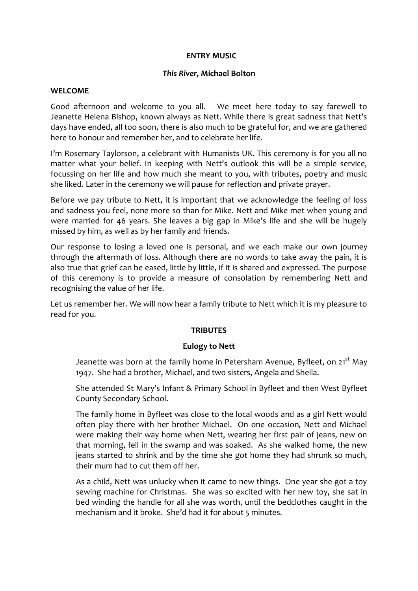#### **ENTRY MUSIC**

#### *This River,* **Michael Bolton**

#### **WELCOME**

Good afternoon and welcome to you all. We meet here today to say farewell to Jeanette Helena Bishop, known always as Nett. While there is great sadness that Nett's days have ended, all too soon, there is also much to be grateful for, and we are gathered here to honour and remember her, and to celebrate her life.

I'm Rosemary Taylorson, a celebrant with Humanists UK. This ceremony is for you all no matter what your belief. In keeping with Nett's outlook this will be a simple service, focussing on her life and how much she meant to you, with tributes, poetry and music she liked. Later in the ceremony we will pause for reflection and private prayer.

Before we pay tribute to Nett, it is important that we acknowledge the feeling of loss and sadness you feel, none more so than for Mike. Nett and Mike met when young and were married for 46 years. She leaves a big gap in Mike's life and she will be hugely missed by him, as well as by her family and friends.

Our response to losing a loved one is personal, and we each make our own journey through the aftermath of loss. Although there are no words to take away the pain, it is also true that grief can be eased, little by little, if it is shared and expressed. The purpose of this ceremony is to provide a measure of consolation by remembering Nett and recognising the value of her life.

Let us remember her. We will now hear a family tribute to Nett which it is my pleasure to read for you.

### **TRIBUTES**

### **Eulogy to Nett**

Jeanette was born at the family home in Petersham Avenue, Byfleet, on  $21^{st}$  May 1947. She had a brother, Michael, and two sisters, Angela and Sheila.

She attended St Mary's Infant & Primary School in Byfleet and then West Byfleet County Secondary School.

The family home in Byfleet was close to the local woods and as a girl Nett would often play there with her brother Michael. On one occasion, Nett and Michael were making their way home when Nett, wearing her first pair of jeans, new on that morning, fell in the swamp and was soaked. As she walked home, the new jeans started to shrink and by the time she got home they had shrunk so much, their mum had to cut them off her.

As a child, Nett was unlucky when it came to new things. One year she got a toy sewing machine for Christmas. She was so excited with her new toy, she sat in bed winding the handle for all she was worth, until the bedclothes caught in the mechanism and it broke. She'd had it for about 5 minutes.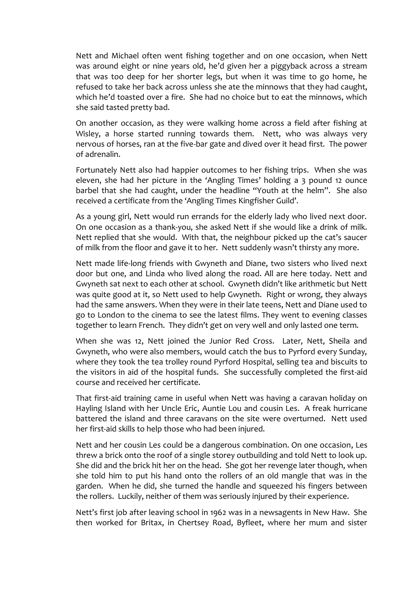Nett and Michael often went fishing together and on one occasion, when Nett was around eight or nine years old, he'd given her a piggyback across a stream that was too deep for her shorter legs, but when it was time to go home, he refused to take her back across unless she ate the minnows that they had caught, which he'd toasted over a fire. She had no choice but to eat the minnows, which she said tasted pretty bad.

On another occasion, as they were walking home across a field after fishing at Wisley, a horse started running towards them. Nett, who was always very nervous of horses, ran at the five-bar gate and dived over it head first. The power of adrenalin.

Fortunately Nett also had happier outcomes to her fishing trips. When she was eleven, she had her picture in the 'Angling Times' holding a 3 pound 12 ounce barbel that she had caught, under the headline "Youth at the helm". She also received a certificate from the 'Angling Times Kingfisher Guild'.

As a young girl, Nett would run errands for the elderly lady who lived next door. On one occasion as a thank-you, she asked Nett if she would like a drink of milk. Nett replied that she would. With that, the neighbour picked up the cat's saucer of milk from the floor and gave it to her. Nett suddenly wasn't thirsty any more.

Nett made life-long friends with Gwyneth and Diane, two sisters who lived next door but one, and Linda who lived along the road. All are here today. Nett and Gwyneth sat next to each other at school. Gwyneth didn't like arithmetic but Nett was quite good at it, so Nett used to help Gwyneth. Right or wrong, they always had the same answers. When they were in their late teens, Nett and Diane used to go to London to the cinema to see the latest films. They went to evening classes together to learn French. They didn't get on very well and only lasted one term.

When she was 12, Nett joined the Junior Red Cross. Later, Nett, Sheila and Gwyneth, who were also members, would catch the bus to Pyrford every Sunday, where they took the tea trolley round Pyrford Hospital, selling tea and biscuits to the visitors in aid of the hospital funds. She successfully completed the first-aid course and received her certificate.

That first-aid training came in useful when Nett was having a caravan holiday on Hayling Island with her Uncle Eric, Auntie Lou and cousin Les. A freak hurricane battered the island and three caravans on the site were overturned. Nett used her first-aid skills to help those who had been injured.

Nett and her cousin Les could be a dangerous combination. On one occasion, Les threw a brick onto the roof of a single storey outbuilding and told Nett to look up. She did and the brick hit her on the head. She got her revenge later though, when she told him to put his hand onto the rollers of an old mangle that was in the garden. When he did, she turned the handle and squeezed his fingers between the rollers. Luckily, neither of them was seriously injured by their experience.

Nett's first job after leaving school in 1962 was in a newsagents in New Haw. She then worked for Britax, in Chertsey Road, Byfleet, where her mum and sister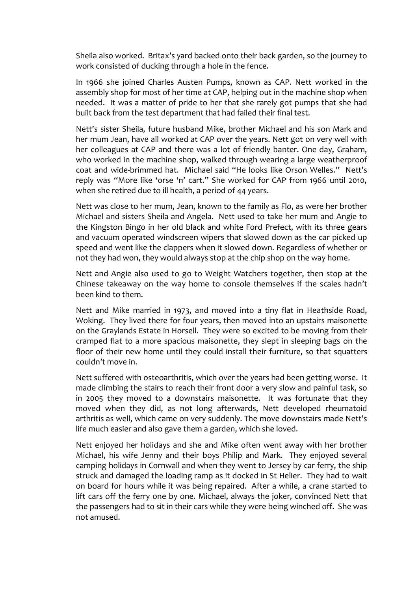Sheila also worked. Britax's yard backed onto their back garden, so the journey to work consisted of ducking through a hole in the fence.

In 1966 she joined Charles Austen Pumps, known as CAP. Nett worked in the assembly shop for most of her time at CAP, helping out in the machine shop when needed. It was a matter of pride to her that she rarely got pumps that she had built back from the test department that had failed their final test.

Nett's sister Sheila, future husband Mike, brother Michael and his son Mark and her mum Jean, have all worked at CAP over the years. Nett got on very well with her colleagues at CAP and there was a lot of friendly banter. One day, Graham, who worked in the machine shop, walked through wearing a large weatherproof coat and wide-brimmed hat. Michael said "He looks like Orson Welles." Nett's reply was "More like 'orse 'n' cart." She worked for CAP from 1966 until 2010, when she retired due to ill health, a period of 44 years.

Nett was close to her mum, Jean, known to the family as Flo, as were her brother Michael and sisters Sheila and Angela. Nett used to take her mum and Angie to the Kingston Bingo in her old black and white Ford Prefect, with its three gears and vacuum operated windscreen wipers that slowed down as the car picked up speed and went like the clappers when it slowed down. Regardless of whether or not they had won, they would always stop at the chip shop on the way home.

Nett and Angie also used to go to Weight Watchers together, then stop at the Chinese takeaway on the way home to console themselves if the scales hadn't been kind to them.

Nett and Mike married in 1973, and moved into a tiny flat in Heathside Road, Woking. They lived there for four years, then moved into an upstairs maisonette on the Graylands Estate in Horsell. They were so excited to be moving from their cramped flat to a more spacious maisonette, they slept in sleeping bags on the floor of their new home until they could install their furniture, so that squatters couldn't move in.

Nett suffered with osteoarthritis, which over the years had been getting worse. It made climbing the stairs to reach their front door a very slow and painful task, so in 2005 they moved to a downstairs maisonette. It was fortunate that they moved when they did, as not long afterwards, Nett developed rheumatoid arthritis as well, which came on very suddenly. The move downstairs made Nett's life much easier and also gave them a garden, which she loved.

Nett enjoyed her holidays and she and Mike often went away with her brother Michael, his wife Jenny and their boys Philip and Mark. They enjoyed several camping holidays in Cornwall and when they went to Jersey by car ferry, the ship struck and damaged the loading ramp as it docked in St Helier. They had to wait on board for hours while it was being repaired. After a while, a crane started to lift cars off the ferry one by one. Michael, always the joker, convinced Nett that the passengers had to sit in their cars while they were being winched off. She was not amused.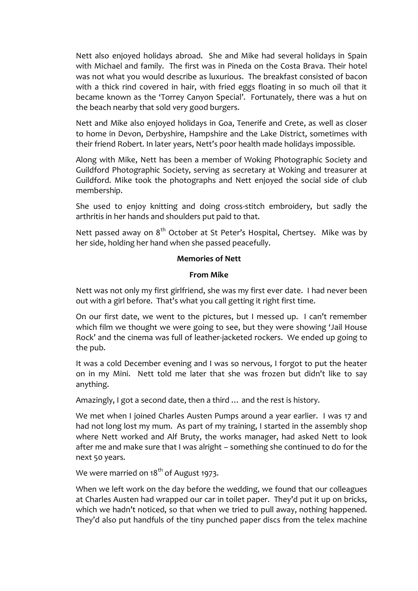Nett also enjoyed holidays abroad. She and Mike had several holidays in Spain with Michael and family. The first was in Pineda on the Costa Brava. Their hotel was not what you would describe as luxurious. The breakfast consisted of bacon with a thick rind covered in hair, with fried eggs floating in so much oil that it became known as the 'Torrey Canyon Special'. Fortunately, there was a hut on the beach nearby that sold very good burgers.

Nett and Mike also enjoyed holidays in Goa, Tenerife and Crete, as well as closer to home in Devon, Derbyshire, Hampshire and the Lake District, sometimes with their friend Robert. In later years, Nett's poor health made holidays impossible.

Along with Mike, Nett has been a member of Woking Photographic Society and Guildford Photographic Society, serving as secretary at Woking and treasurer at Guildford. Mike took the photographs and Nett enjoyed the social side of club membership.

She used to enjoy knitting and doing cross-stitch embroidery, but sadly the arthritis in her hands and shoulders put paid to that.

Nett passed away on  $8^{th}$  October at St Peter's Hospital, Chertsey. Mike was by her side, holding her hand when she passed peacefully.

### **Memories of Nett**

### **From Mike**

Nett was not only my first girlfriend, she was my first ever date. I had never been out with a girl before. That's what you call getting it right first time.

On our first date, we went to the pictures, but I messed up. I can't remember which film we thought we were going to see, but they were showing 'Jail House Rock' and the cinema was full of leather-jacketed rockers. We ended up going to the pub.

It was a cold December evening and I was so nervous, I forgot to put the heater on in my Mini. Nett told me later that she was frozen but didn't like to say anything.

Amazingly, I got a second date, then a third … and the rest is history.

We met when I joined Charles Austen Pumps around a year earlier. I was 17 and had not long lost my mum. As part of my training, I started in the assembly shop where Nett worked and Alf Bruty, the works manager, had asked Nett to look after me and make sure that I was alright – something she continued to do for the next 50 years.

We were married on  $18^{th}$  of August 1973.

When we left work on the day before the wedding, we found that our colleagues at Charles Austen had wrapped our car in toilet paper. They'd put it up on bricks, which we hadn't noticed, so that when we tried to pull away, nothing happened. They'd also put handfuls of the tiny punched paper discs from the telex machine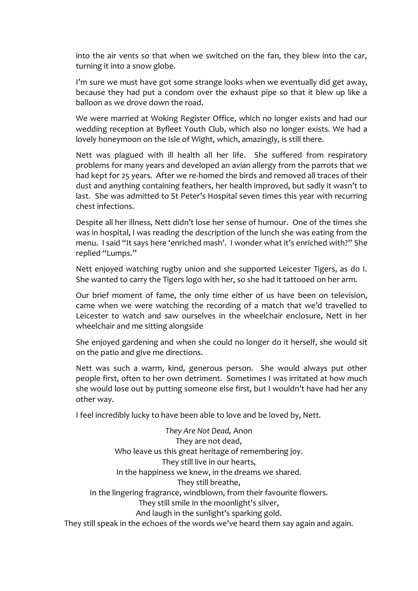into the air vents so that when we switched on the fan, they blew into the car, turning it into a snow globe.

I'm sure we must have got some strange looks when we eventually did get away, because they had put a condom over the exhaust pipe so that it blew up like a balloon as we drove down the road.

We were married at Woking Register Office, which no longer exists and had our wedding reception at Byfleet Youth Club, which also no longer exists. We had a lovely honeymoon on the Isle of Wight, which, amazingly, is still there.

Nett was plagued with ill health all her life. She suffered from respiratory problems for many years and developed an avian allergy from the parrots that we had kept for 25 years. After we re-homed the birds and removed all traces of their dust and anything containing feathers, her health improved, but sadly it wasn't to last. She was admitted to St Peter's Hospital seven times this year with recurring chest infections.

Despite all her illness, Nett didn't lose her sense of humour. One of the times she was in hospital, I was reading the description of the lunch she was eating from the menu. I said "It says here 'enriched mash'. I wonder what it's enriched with?" She replied "Lumps."

Nett enjoyed watching rugby union and she supported Leicester Tigers, as do I. She wanted to carry the Tigers logo with her, so she had it tattooed on her arm.

Our brief moment of fame, the only time either of us have been on television, came when we were watching the recording of a match that we'd travelled to Leicester to watch and saw ourselves in the wheelchair enclosure, Nett in her wheelchair and me sitting alongside

She enjoyed gardening and when she could no longer do it herself, she would sit on the patio and give me directions.

Nett was such a warm, kind, generous person. She would always put other people first, often to her own detriment. Sometimes I was irritated at how much she would lose out by putting someone else first, but I wouldn't have had her any other way.

I feel incredibly lucky to have been able to love and be loved by, Nett.

*They Are Not Dead,* Anon They are not dead, Who leave us this great heritage of remembering joy. They still live in our hearts, In the happiness we knew, in the dreams we shared. They still breathe, In the lingering fragrance, windblown, from their favourite flowers. They still smile in the moonlight's silver, And laugh in the sunlight's sparking gold. They still speak in the echoes of the words we've heard them say again and again.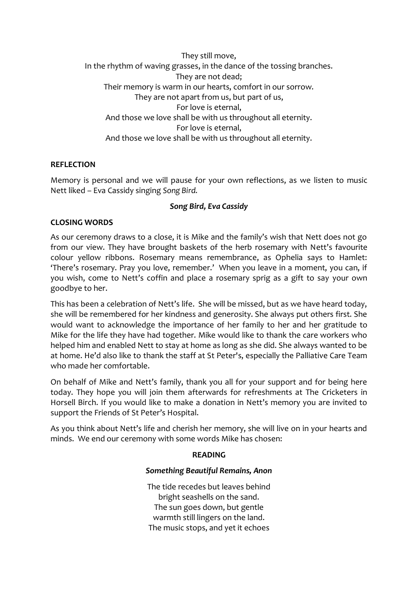They still move, In the rhythm of waving grasses, in the dance of the tossing branches. They are not dead; Their memory is warm in our hearts, comfort in our sorrow. They are not apart from us, but part of us, For love is eternal, And those we love shall be with us throughout all eternity. For love is eternal, And those we love shall be with us throughout all eternity.

### **REFLECTION**

Memory is personal and we will pause for your own reflections, as we listen to music Nett liked – Eva Cassidy singing *Song Bird.*

# *Song Bird, Eva Cassidy*

# **CLOSING WORDS**

As our ceremony draws to a close, it is Mike and the family's wish that Nett does not go from our view. They have brought baskets of the herb rosemary with Nett's favourite colour yellow ribbons. Rosemary means remembrance, as Ophelia says to Hamlet: 'There's rosemary. Pray you love, remember.' When you leave in a moment, you can, if you wish, come to Nett's coffin and place a rosemary sprig as a gift to say your own goodbye to her.

This has been a celebration of Nett's life. She will be missed, but as we have heard today, she will be remembered for her kindness and generosity. She always put others first. She would want to acknowledge the importance of her family to her and her gratitude to Mike for the life they have had together. Mike would like to thank the care workers who helped him and enabled Nett to stay at home as long as she did. She always wanted to be at home. He'd also like to thank the staff at St Peter's, especially the Palliative Care Team who made her comfortable.

On behalf of Mike and Nett's family, thank you all for your support and for being here today. They hope you will join them afterwards for refreshments at The Cricketers in Horsell Birch. If you would like to make a donation in Nett's memory you are invited to support the Friends of St Peter's Hospital.

As you think about Nett's life and cherish her memory, she will live on in your hearts and minds. We end our ceremony with some words Mike has chosen:

### **READING**

### *Something Beautiful Remains, Anon*

The tide recedes but leaves behind bright seashells on the sand. The sun goes down, but gentle warmth still lingers on the land. The music stops, and yet it echoes